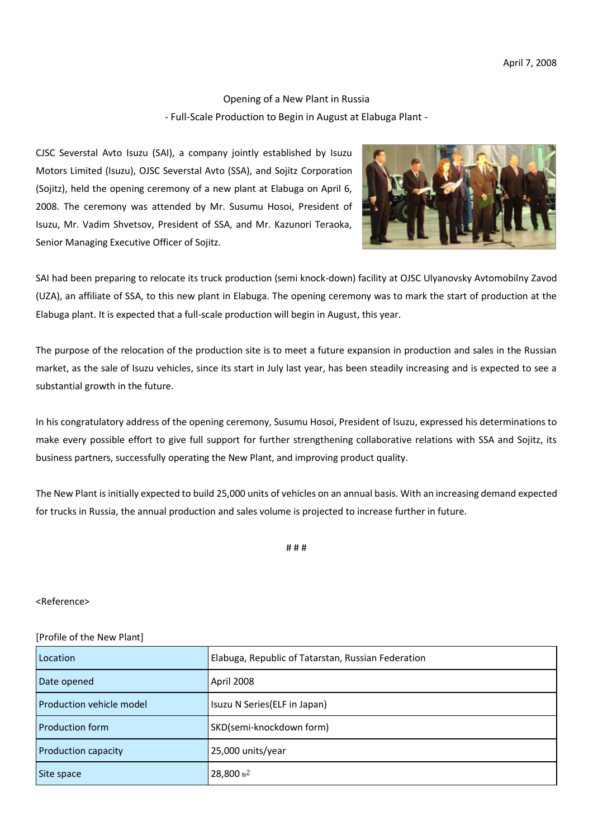Opening of a New Plant in Russia - Full-Scale Production to Begin in August at Elabuga Plant -

CJSC Severstal Avto Isuzu (SAI), a company jointly established by Isuzu Motors Limited (Isuzu), OJSC Severstal Avto (SSA), and Sojitz Corporation (Sojitz), held the opening ceremony of a new plant at Elabuga on April 6, 2008. The ceremony was attended by Mr. Susumu Hosoi, President of Isuzu, Mr. Vadim Shvetsov, President of SSA, and Mr. Kazunori Teraoka, Senior Managing Executive Officer of Sojitz.



SAI had been preparing to relocate its truck production (semi knock-down) facility at OJSC Ulyanovsky Avtomobilny Zavod (UZA), an affiliate of SSA, to this new plant in Elabuga. The opening ceremony was to mark the start of production at the Elabuga plant. It is expected that a full-scale production will begin in August, this year.

The purpose of the relocation of the production site is to meet a future expansion in production and sales in the Russian market, as the sale of Isuzu vehicles, since its start in July last year, has been steadily increasing and is expected to see a substantial growth in the future.

In his congratulatory address of the opening ceremony, Susumu Hosoi, President of Isuzu, expressed his determinations to make every possible effort to give full support for further strengthening collaborative relations with SSA and Sojitz, its business partners, successfully operating the New Plant, and improving product quality.

The New Plant is initially expected to build 25,000 units of vehicles on an annual basis. With an increasing demand expected for trucks in Russia, the annual production and sales volume is projected to increase further in future.

# # #

## <Reference>

## [Profile of the New Plant]

| Location                        | Elabuga, Republic of Tatarstan, Russian Federation |
|---------------------------------|----------------------------------------------------|
| Date opened                     | April 2008                                         |
| <b>Production vehicle model</b> | Isuzu N Series (ELF in Japan)                      |
| <b>Production form</b>          | SKD(semi-knockdown form)                           |
| <b>Production capacity</b>      | 25,000 units/year                                  |
| Site space                      | $28,800$ m <sup>2</sup>                            |